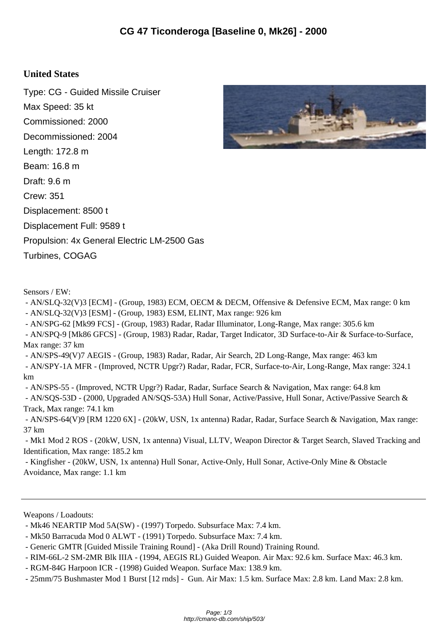## **United States**

Type: CG - Guided Missile Cruiser Max Speed: 35 kt Commissioned: 2000 Decommissioned: 2004 Length: 172.8 m Beam: 16.8 m Draft: 9.6 m Crew: 351 Displacement: 8500 t Displacement Full: 9589 t Propulsion: 4x General Electric LM-2500 Gas Turbines, COGAG



- AN/SLQ-32(V)3 [ECM] - (Group, 1983) ECM, OECM & DECM, Offensive & Defensive ECM, Max range: 0 km

- AN/SLQ-32(V)3 [ESM] - (Group, 1983) ESM, ELINT, Max range: 926 km

 - AN/SPG-62 [Mk99 FCS] - (Group, 1983) Radar, Radar Illuminator, Long-Range, Max range: 305.6 km - AN/SPQ-9 [Mk86 GFCS] - (Group, 1983) Radar, Radar, Target Indicator, 3D Surface-to-Air & Surface-to-Surface,

Max range: 37 km

- AN/SPS-49(V)7 AEGIS - (Group, 1983) Radar, Radar, Air Search, 2D Long-Range, Max range: 463 km

 - AN/SPY-1A MFR - (Improved, NCTR Upgr?) Radar, Radar, FCR, Surface-to-Air, Long-Range, Max range: 324.1 km

- AN/SPS-55 - (Improved, NCTR Upgr?) Radar, Radar, Surface Search & Navigation, Max range: 64.8 km

 - AN/SQS-53D - (2000, Upgraded AN/SQS-53A) Hull Sonar, Active/Passive, Hull Sonar, Active/Passive Search & Track, Max range: 74.1 km

 - AN/SPS-64(V)9 [RM 1220 6X] - (20kW, USN, 1x antenna) Radar, Radar, Surface Search & Navigation, Max range: 37 km

 - Mk1 Mod 2 ROS - (20kW, USN, 1x antenna) Visual, LLTV, Weapon Director & Target Search, Slaved Tracking and Identification, Max range: 185.2 km

 - Kingfisher - (20kW, USN, 1x antenna) Hull Sonar, Active-Only, Hull Sonar, Active-Only Mine & Obstacle Avoidance, Max range: 1.1 km

Weapons / Loadouts:

- Mk46 NEARTIP Mod 5A(SW) - (1997) Torpedo. Subsurface Max: 7.4 km.

- Mk50 Barracuda Mod 0 ALWT - (1991) Torpedo. Subsurface Max: 7.4 km.

- Generic GMTR [Guided Missile Training Round] - (Aka Drill Round) Training Round.

- RIM-66L-2 SM-2MR Blk IIIA - (1994, AEGIS RL) Guided Weapon. Air Max: 92.6 km. Surface Max: 46.3 km.

- RGM-84G Harpoon ICR - (1998) Guided Weapon. Surface Max: 138.9 km.

- 25mm/75 Bushmaster Mod 1 Burst [12 rnds] - Gun. Air Max: 1.5 km. Surface Max: 2.8 km. Land Max: 2.8 km.

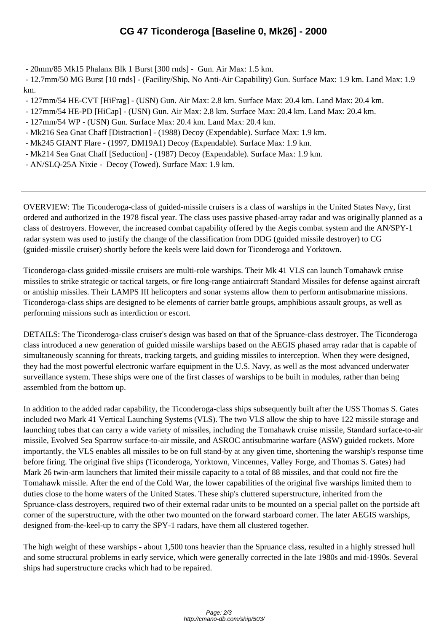- 20mm/85 Mk15 Phalanx B[lk 1 Burst \[300 rnds\] - Gun. Air Max: 1.5 km.](http://cmano-db.com/ship/503/) 

 - 12.7mm/50 MG Burst [10 rnds] - (Facility/Ship, No Anti-Air Capability) Gun. Surface Max: 1.9 km. Land Max: 1.9 km.

- 127mm/54 HE-CVT [HiFrag] (USN) Gun. Air Max: 2.8 km. Surface Max: 20.4 km. Land Max: 20.4 km.
- 127mm/54 HE-PD [HiCap] (USN) Gun. Air Max: 2.8 km. Surface Max: 20.4 km. Land Max: 20.4 km.
- 127mm/54 WP (USN) Gun. Surface Max: 20.4 km. Land Max: 20.4 km.
- Mk216 Sea Gnat Chaff [Distraction] (1988) Decoy (Expendable). Surface Max: 1.9 km.
- Mk245 GIANT Flare (1997, DM19A1) Decoy (Expendable). Surface Max: 1.9 km.
- Mk214 Sea Gnat Chaff [Seduction] (1987) Decoy (Expendable). Surface Max: 1.9 km.
- AN/SLQ-25A Nixie Decoy (Towed). Surface Max: 1.9 km.

OVERVIEW: The Ticonderoga-class of guided-missile cruisers is a class of warships in the United States Navy, first ordered and authorized in the 1978 fiscal year. The class uses passive phased-array radar and was originally planned as a class of destroyers. However, the increased combat capability offered by the Aegis combat system and the AN/SPY-1 radar system was used to justify the change of the classification from DDG (guided missile destroyer) to CG (guided-missile cruiser) shortly before the keels were laid down for Ticonderoga and Yorktown.

Ticonderoga-class guided-missile cruisers are multi-role warships. Their Mk 41 VLS can launch Tomahawk cruise missiles to strike strategic or tactical targets, or fire long-range antiaircraft Standard Missiles for defense against aircraft or antiship missiles. Their LAMPS III helicopters and sonar systems allow them to perform antisubmarine missions. Ticonderoga-class ships are designed to be elements of carrier battle groups, amphibious assault groups, as well as performing missions such as interdiction or escort.

DETAILS: The Ticonderoga-class cruiser's design was based on that of the Spruance-class destroyer. The Ticonderoga class introduced a new generation of guided missile warships based on the AEGIS phased array radar that is capable of simultaneously scanning for threats, tracking targets, and guiding missiles to interception. When they were designed, they had the most powerful electronic warfare equipment in the U.S. Navy, as well as the most advanced underwater surveillance system. These ships were one of the first classes of warships to be built in modules, rather than being assembled from the bottom up.

In addition to the added radar capability, the Ticonderoga-class ships subsequently built after the USS Thomas S. Gates included two Mark 41 Vertical Launching Systems (VLS). The two VLS allow the ship to have 122 missile storage and launching tubes that can carry a wide variety of missiles, including the Tomahawk cruise missile, Standard surface-to-air missile, Evolved Sea Sparrow surface-to-air missile, and ASROC antisubmarine warfare (ASW) guided rockets. More importantly, the VLS enables all missiles to be on full stand-by at any given time, shortening the warship's response time before firing. The original five ships (Ticonderoga, Yorktown, Vincennes, Valley Forge, and Thomas S. Gates) had Mark 26 twin-arm launchers that limited their missile capacity to a total of 88 missiles, and that could not fire the Tomahawk missile. After the end of the Cold War, the lower capabilities of the original five warships limited them to duties close to the home waters of the United States. These ship's cluttered superstructure, inherited from the Spruance-class destroyers, required two of their external radar units to be mounted on a special pallet on the portside aft corner of the superstructure, with the other two mounted on the forward starboard corner. The later AEGIS warships, designed from-the-keel-up to carry the SPY-1 radars, have them all clustered together.

The high weight of these warships - about 1,500 tons heavier than the Spruance class, resulted in a highly stressed hull and some structural problems in early service, which were generally corrected in the late 1980s and mid-1990s. Several ships had superstructure cracks which had to be repaired.